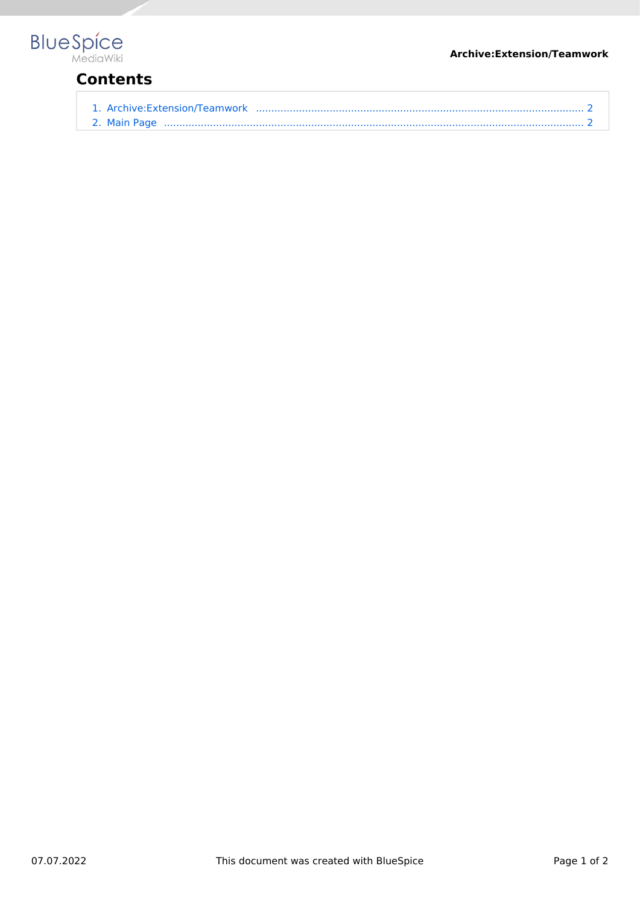#### **Archive:Extension/Teamwork**



# **Contents**